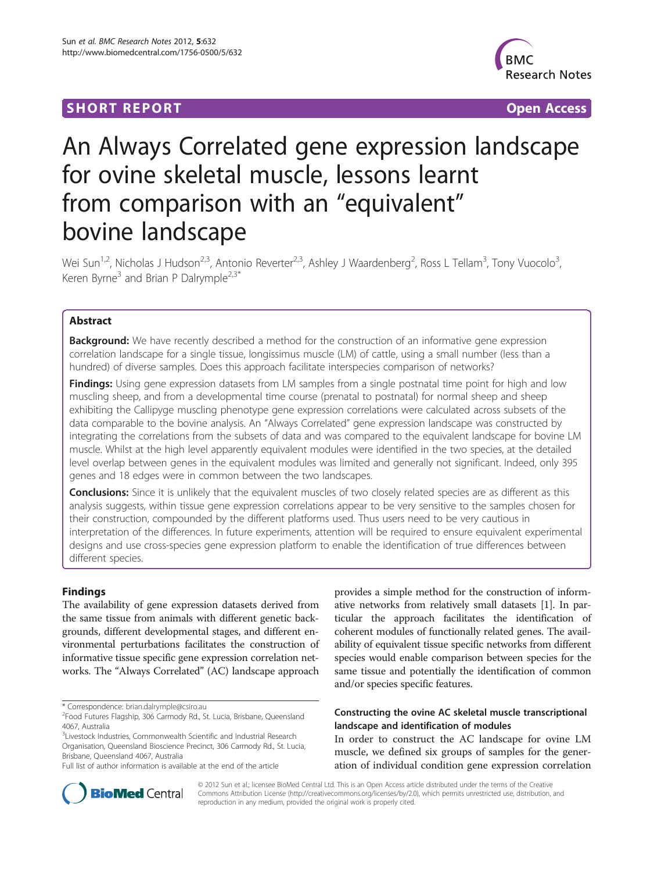## **SHORT REPORT SHORT CONSUMING THE SHORT CONSUMING THE SHORT CONSUMING THE SHORT CONSUMING THE SHORT CONSUMING THE SHORT CONSUMING THE SHORT CONSUMING THE SHORT CONSUMING THE SHORT CONSUMING THE SHORT CONSUMING THE SHORT**



# An Always Correlated gene expression landscape for ovine skeletal muscle, lessons learnt from comparison with an "equivalent" bovine landscape

Wei Sun<sup>1,2</sup>, Nicholas J Hudson<sup>2,3</sup>, Antonio Reverter<sup>2,3</sup>, Ashley J Waardenberg<sup>2</sup>, Ross L Tellam<sup>3</sup>, Tony Vuocolo<sup>3</sup> , Keren Byrne<sup>3</sup> and Brian P Dalrymple<sup>2,3\*</sup>

## Abstract

Background: We have recently described a method for the construction of an informative gene expression correlation landscape for a single tissue, longissimus muscle (LM) of cattle, using a small number (less than a hundred) of diverse samples. Does this approach facilitate interspecies comparison of networks?

Findings: Using gene expression datasets from LM samples from a single postnatal time point for high and low muscling sheep, and from a developmental time course (prenatal to postnatal) for normal sheep and sheep exhibiting the Callipyge muscling phenotype gene expression correlations were calculated across subsets of the data comparable to the bovine analysis. An "Always Correlated" gene expression landscape was constructed by integrating the correlations from the subsets of data and was compared to the equivalent landscape for bovine LM muscle. Whilst at the high level apparently equivalent modules were identified in the two species, at the detailed level overlap between genes in the equivalent modules was limited and generally not significant. Indeed, only 395 genes and 18 edges were in common between the two landscapes.

Conclusions: Since it is unlikely that the equivalent muscles of two closely related species are as different as this analysis suggests, within tissue gene expression correlations appear to be very sensitive to the samples chosen for their construction, compounded by the different platforms used. Thus users need to be very cautious in interpretation of the differences. In future experiments, attention will be required to ensure equivalent experimental designs and use cross-species gene expression platform to enable the identification of true differences between different species.

## Findings

The availability of gene expression datasets derived from the same tissue from animals with different genetic backgrounds, different developmental stages, and different environmental perturbations facilitates the construction of informative tissue specific gene expression correlation networks. The "Always Correlated" (AC) landscape approach

<sup>3</sup> Livestock Industries, Commonwealth Scientific and Industrial Research Organisation, Queensland Bioscience Precinct, 306 Carmody Rd., St. Lucia, Brisbane, Queensland 4067, Australia

provides a simple method for the construction of informative networks from relatively small datasets [[1](#page-6-0)]. In particular the approach facilitates the identification of coherent modules of functionally related genes. The availability of equivalent tissue specific networks from different species would enable comparison between species for the same tissue and potentially the identification of common and/or species specific features.

## Constructing the ovine AC skeletal muscle transcriptional landscape and identification of modules

In order to construct the AC landscape for ovine LM muscle, we defined six groups of samples for the generation of individual condition gene expression correlation



© 2012 Sun et al.; licensee BioMed Central Ltd. This is an Open Access article distributed under the terms of the Creative Commons Attribution License [\(http://creativecommons.org/licenses/by/2.0\)](http://creativecommons.org/licenses/by/2.0), which permits unrestricted use, distribution, and reproduction in any medium, provided the original work is properly cited.

<sup>\*</sup> Correspondence: [brian.dalrymple@csiro.au](mailto:brian.dalrymple@csiro.au) <sup>2</sup>

<sup>&</sup>lt;sup>2</sup>Food Futures Flagship, 306 Carmody Rd., St. Lucia, Brisbane, Queensland 4067, Australia

Full list of author information is available at the end of the article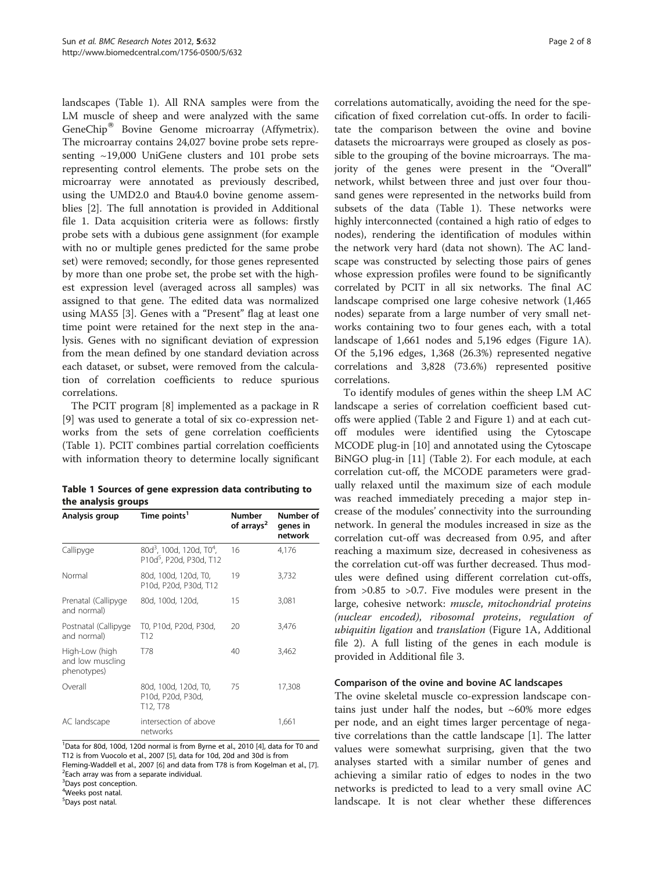landscapes (Table 1). All RNA samples were from the LM muscle of sheep and were analyzed with the same GeneChip<sup>®</sup> Bovine Genome microarray (Affymetrix). The microarray contains 24,027 bovine probe sets representing ~19,000 UniGene clusters and 101 probe sets representing control elements. The probe sets on the microarray were annotated as previously described, using the UMD2.0 and Btau4.0 bovine genome assemblies [[2\]](#page-6-0). The full annotation is provided in Additional file [1.](#page-6-0) Data acquisition criteria were as follows: firstly probe sets with a dubious gene assignment (for example with no or multiple genes predicted for the same probe set) were removed; secondly, for those genes represented by more than one probe set, the probe set with the highest expression level (averaged across all samples) was assigned to that gene. The edited data was normalized using MAS5 [\[3](#page-6-0)]. Genes with a "Present" flag at least one time point were retained for the next step in the analysis. Genes with no significant deviation of expression from the mean defined by one standard deviation across each dataset, or subset, were removed from the calculation of correlation coefficients to reduce spurious correlations.

The PCIT program [[8\]](#page-6-0) implemented as a package in R [[9\]](#page-6-0) was used to generate a total of six co-expression networks from the sets of gene correlation coefficients (Table 1). PCIT combines partial correlation coefficients with information theory to determine locally significant

| Table 1 Sources of gene expression data contributing to |  |  |
|---------------------------------------------------------|--|--|
| the analysis groups                                     |  |  |

| Analysis group                                    | Time points <sup>1</sup>                                                                | <b>Number</b><br>of arrays <sup>2</sup> | Number of<br>genes in<br>network |
|---------------------------------------------------|-----------------------------------------------------------------------------------------|-----------------------------------------|----------------------------------|
| Callipyge                                         | 80d <sup>3</sup> , 100d, 120d, T0 <sup>4</sup> ,<br>P10d <sup>5</sup> , P20d, P30d, T12 | 16                                      | 4,176                            |
| Normal                                            | 80d, 100d, 120d, T0,<br>P10d, P20d, P30d, T12                                           | 19                                      | 3,732                            |
| Prenatal (Callipyge<br>and normal)                | 80d, 100d, 120d,                                                                        | 15                                      | 3,081                            |
| Postnatal (Callipyge<br>and normal)               | T0, P10d, P20d, P30d,<br>T <sub>12</sub>                                                | 20                                      | 3,476                            |
| High-Low (high<br>and low muscling<br>phenotypes) | T78                                                                                     | 40                                      | 3,462                            |
| Overall                                           | 80d, 100d, 120d, T0,<br>P10d, P20d, P30d,<br>T12, T78                                   | 75                                      | 17,308                           |
| AC landscape                                      | intersection of above<br>networks                                                       |                                         | 1,661                            |

<sup>1</sup>Data for 80d, 100d, 120d normal is from Byrne et al., 2010 [\[4\]](#page-6-0), data for T0 and T12 is from Vuocolo et al., 2007 [[5](#page-6-0)], data for 10d, 20d and 30d is from Fleming-Waddell et al., 2007 [[6](#page-6-0)] and data from T78 is from Kogelman et al., [\[7\]](#page-6-0). <sup>2</sup> <sup>2</sup> Each array was from a separate individual.

<sup>3</sup>Days post conception.

4 Weeks post natal.

5 Days post natal.

correlations automatically, avoiding the need for the specification of fixed correlation cut-offs. In order to facilitate the comparison between the ovine and bovine datasets the microarrays were grouped as closely as possible to the grouping of the bovine microarrays. The majority of the genes were present in the "Overall" network, whilst between three and just over four thousand genes were represented in the networks build from subsets of the data (Table 1). These networks were highly interconnected (contained a high ratio of edges to nodes), rendering the identification of modules within the network very hard (data not shown). The AC landscape was constructed by selecting those pairs of genes whose expression profiles were found to be significantly correlated by PCIT in all six networks. The final AC landscape comprised one large cohesive network (1,465 nodes) separate from a large number of very small networks containing two to four genes each, with a total landscape of 1,661 nodes and 5,196 edges (Figure [1A](#page-2-0)). Of the 5,196 edges, 1,368 (26.3%) represented negative correlations and 3,828 (73.6%) represented positive correlations.

To identify modules of genes within the sheep LM AC landscape a series of correlation coefficient based cutoffs were applied (Table [2](#page-2-0) and Figure [1\)](#page-2-0) and at each cutoff modules were identified using the Cytoscape MCODE plug-in [\[10\]](#page-6-0) and annotated using the Cytoscape BiNGO plug-in [[11\]](#page-6-0) (Table [2\)](#page-2-0). For each module, at each correlation cut-off, the MCODE parameters were gradually relaxed until the maximum size of each module was reached immediately preceding a major step increase of the modules' connectivity into the surrounding network. In general the modules increased in size as the correlation cut-off was decreased from 0.95, and after reaching a maximum size, decreased in cohesiveness as the correlation cut-off was further decreased. Thus modules were defined using different correlation cut-offs, from >0.85 to >0.7. Five modules were present in the large, cohesive network: muscle, mitochondrial proteins (nuclear encoded), ribosomal proteins, regulation of ubiquitin ligation and translation (Figure [1A,](#page-2-0) Additional file [2](#page-6-0)). A full listing of the genes in each module is provided in Additional file [3.](#page-6-0)

#### Comparison of the ovine and bovine AC landscapes

The ovine skeletal muscle co-expression landscape contains just under half the nodes, but  $~60\%$  more edges per node, and an eight times larger percentage of negative correlations than the cattle landscape [\[1](#page-6-0)]. The latter values were somewhat surprising, given that the two analyses started with a similar number of genes and achieving a similar ratio of edges to nodes in the two networks is predicted to lead to a very small ovine AC landscape. It is not clear whether these differences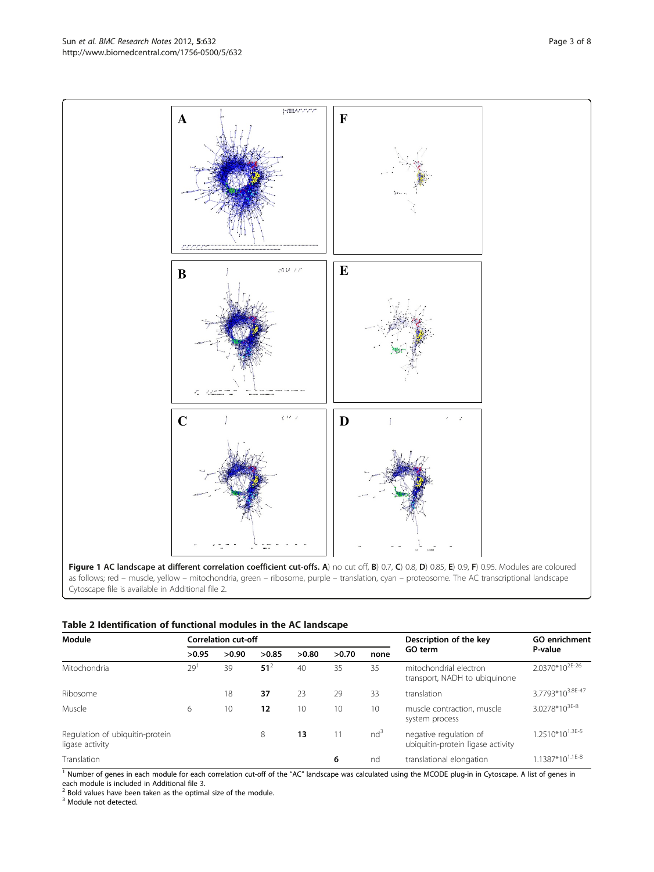as follows; red – muscle, yellow – mitochondria, green – ribosome, purple – translation, cyan – proteosome. The AC transcriptional landscape Cytoscape file is available in Additional file [2](#page-6-0).

|  | Table 2 Identification of functional modules in the AC landscape |  |  |  |
|--|------------------------------------------------------------------|--|--|--|
|  |                                                                  |  |  |  |

| Module                                             | <b>Correlation cut-off</b> |       |                 |       |       |                 | Description of the key                                      | <b>GO</b> enrichment         |  |
|----------------------------------------------------|----------------------------|-------|-----------------|-------|-------|-----------------|-------------------------------------------------------------|------------------------------|--|
|                                                    | >0.95                      | >0.90 | >0.85           | >0.80 | >0.70 | none            | GO term                                                     | P-value                      |  |
| Mitochondria                                       | 29                         | 39    | 51 <sup>2</sup> | 40    | 35    | 35              | mitochondrial electron<br>transport, NADH to ubiquinone     | $2.0370*10^{2E-26}$          |  |
| Ribosome                                           |                            | 18    | 37              | 23    | 29    | 33              | translation                                                 | 3.7793*10 <sup>3.8E-47</sup> |  |
| Muscle                                             | 6                          | 10    | 12              | 10    | 10    | 10              | muscle contraction, muscle<br>system process                | $3.0278*10^{3E-8}$           |  |
| Regulation of ubiguitin-protein<br>ligase activity |                            |       | 8               | 13    | 11    | nd <sup>3</sup> | negative regulation of<br>ubiquitin-protein ligase activity | $1.2510*10^{1.3E-5}$         |  |
| <b>Translation</b>                                 |                            |       |                 |       | 6     | nd              | translational elongation                                    | $1.1387*10^{1.1E-8}$         |  |

 $\frac{1}{1}$  Number of genes in each module for each correlation cut-off of the "AC" landscape was calculated using the MCODE plug-in in Cytoscape. A list of genes in each module is included in Additional file [3.](#page-6-0)<br>
<sup>2</sup> Bold values have been taken as the optimal size of the module.

<sup>3</sup> Module not detected.

<span id="page-2-0"></span>Sun et al. BMC Research Notes 2012, 5:632 Page 3 of 8 http://www.biomedcentral.com/1756-0500/5/632

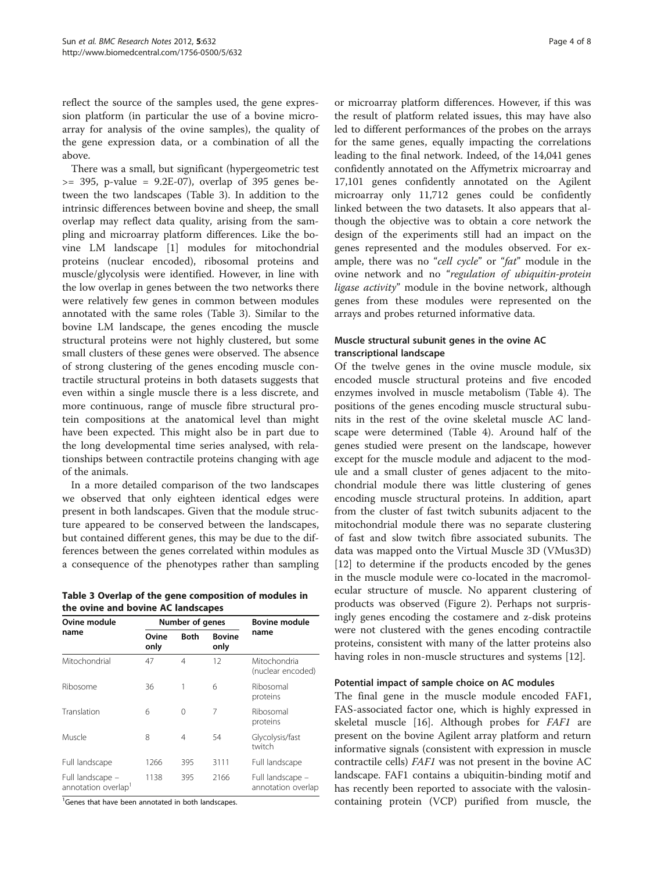reflect the source of the samples used, the gene expression platform (in particular the use of a bovine microarray for analysis of the ovine samples), the quality of the gene expression data, or a combination of all the above.

There was a small, but significant (hypergeometric test  $>=$  395, p-value = 9.2E-07), overlap of 395 genes between the two landscapes (Table 3). In addition to the intrinsic differences between bovine and sheep, the small overlap may reflect data quality, arising from the sampling and microarray platform differences. Like the bovine LM landscape [[1\]](#page-6-0) modules for mitochondrial proteins (nuclear encoded), ribosomal proteins and muscle/glycolysis were identified. However, in line with the low overlap in genes between the two networks there were relatively few genes in common between modules annotated with the same roles (Table 3). Similar to the bovine LM landscape, the genes encoding the muscle structural proteins were not highly clustered, but some small clusters of these genes were observed. The absence of strong clustering of the genes encoding muscle contractile structural proteins in both datasets suggests that even within a single muscle there is a less discrete, and more continuous, range of muscle fibre structural protein compositions at the anatomical level than might have been expected. This might also be in part due to the long developmental time series analysed, with relationships between contractile proteins changing with age of the animals.

In a more detailed comparison of the two landscapes we observed that only eighteen identical edges were present in both landscapes. Given that the module structure appeared to be conserved between the landscapes, but contained different genes, this may be due to the differences between the genes correlated within modules as a consequence of the phenotypes rather than sampling

| Table 3 Overlap of the gene composition of modules in |  |
|-------------------------------------------------------|--|
| the ovine and bovine AC landscapes                    |  |

| Ovine module                           |               | Number of genes | <b>Bovine module</b>  |                                        |
|----------------------------------------|---------------|-----------------|-----------------------|----------------------------------------|
| name                                   | Ovine<br>only | <b>Both</b>     | <b>Bovine</b><br>only | name                                   |
| Mitochondrial                          | 47            | 4               | 12                    | Mitochondria<br>(nuclear encoded)      |
| Ribosome                               | 36            | 1               | 6                     | Ribosomal<br>proteins                  |
| Translation                            | 6             | $\Omega$        | 7                     | Ribosomal<br>proteins                  |
| Muscle                                 | 8             | 4               | 54                    | Glycolysis/fast<br>twitch              |
| Full landscape                         | 1266          | 395             | 3111                  | Full landscape                         |
| Full landscape -<br>annotation overlap | 1138          | 395             | 2166                  | Full landscape -<br>annotation overlap |

<sup>1</sup>Genes that have been annotated in both landscapes.

or microarray platform differences. However, if this was the result of platform related issues, this may have also led to different performances of the probes on the arrays for the same genes, equally impacting the correlations leading to the final network. Indeed, of the 14,041 genes confidently annotated on the Affymetrix microarray and 17,101 genes confidently annotated on the Agilent microarray only 11,712 genes could be confidently linked between the two datasets. It also appears that although the objective was to obtain a core network the design of the experiments still had an impact on the genes represented and the modules observed. For example, there was no "cell cycle" or "fat" module in the ovine network and no "regulation of ubiquitin-protein ligase activity" module in the bovine network, although genes from these modules were represented on the arrays and probes returned informative data.

## Muscle structural subunit genes in the ovine AC transcriptional landscape

Of the twelve genes in the ovine muscle module, six encoded muscle structural proteins and five encoded enzymes involved in muscle metabolism (Table [4\)](#page-4-0). The positions of the genes encoding muscle structural subunits in the rest of the ovine skeletal muscle AC landscape were determined (Table [4](#page-4-0)). Around half of the genes studied were present on the landscape, however except for the muscle module and adjacent to the module and a small cluster of genes adjacent to the mitochondrial module there was little clustering of genes encoding muscle structural proteins. In addition, apart from the cluster of fast twitch subunits adjacent to the mitochondrial module there was no separate clustering of fast and slow twitch fibre associated subunits. The data was mapped onto the Virtual Muscle 3D (VMus3D) [[12\]](#page-6-0) to determine if the products encoded by the genes in the muscle module were co-located in the macromolecular structure of muscle. No apparent clustering of products was observed (Figure [2\)](#page-4-0). Perhaps not surprisingly genes encoding the costamere and z-disk proteins were not clustered with the genes encoding contractile proteins, consistent with many of the latter proteins also having roles in non-muscle structures and systems [\[12\]](#page-6-0).

#### Potential impact of sample choice on AC modules

The final gene in the muscle module encoded FAF1, FAS-associated factor one, which is highly expressed in skeletal muscle [[16](#page-6-0)]. Although probes for FAF1 are present on the bovine Agilent array platform and return informative signals (consistent with expression in muscle contractile cells) FAF1 was not present in the bovine AC landscape. FAF1 contains a ubiquitin-binding motif and has recently been reported to associate with the valosincontaining protein (VCP) purified from muscle, the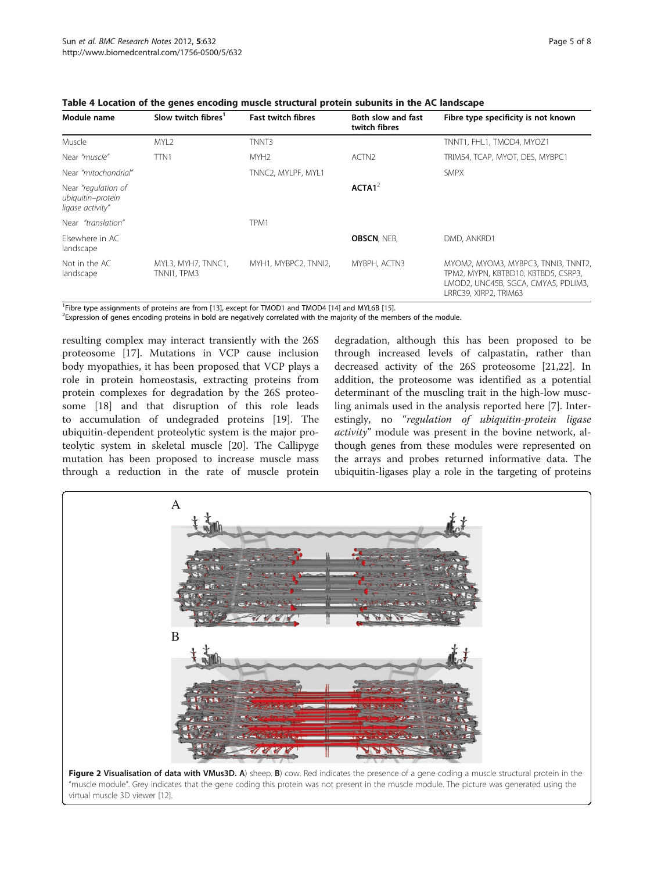| Module name                                                  | Slow twitch fibres <sup>1</sup>   | <b>Fast twitch fibres</b> | <b>Both slow and fast</b><br>twitch fibres | Fibre type specificity is not known                                                                                                        |
|--------------------------------------------------------------|-----------------------------------|---------------------------|--------------------------------------------|--------------------------------------------------------------------------------------------------------------------------------------------|
| <b>Muscle</b>                                                | MYL <sub>2</sub>                  | TNNT3                     |                                            | TNNT1, FHL1, TMOD4, MYOZ1                                                                                                                  |
| Near "muscle"                                                | TTN1                              | MYH <sub>2</sub>          | ACTN <sub>2</sub>                          | TRIM54, TCAP, MYOT, DES, MYBPC1                                                                                                            |
| Near "mitochondrial"                                         |                                   | TNNC2, MYLPF, MYL1        |                                            | <b>SMPX</b>                                                                                                                                |
| Near "regulation of<br>ubiquitin-protein<br>ligase activity" |                                   |                           | ACTA1 <sup>2</sup>                         |                                                                                                                                            |
| Near "translation"                                           |                                   | TPM1                      |                                            |                                                                                                                                            |
| Elsewhere in AC<br>landscape                                 |                                   |                           | <b>OBSCN, NEB,</b>                         | DMD, ANKRD1                                                                                                                                |
| Not in the AC<br>landscape                                   | MYL3, MYH7, TNNC1,<br>TNNI1, TPM3 | MYH1, MYBPC2, TNNI2,      | MYBPH, ACTN3                               | MYOM2, MYOM3, MYBPC3, TNNI3, TNNT2,<br>TPM2, MYPN, KBTBD10, KBTBD5, CSRP3,<br>LMOD2, UNC45B, SGCA, CMYA5, PDLIM3,<br>LRRC39, XIRP2, TRIM63 |

<span id="page-4-0"></span>

| Table 4 Location of the genes encoding muscle structural protein subunits in the AC landscape |  |  |
|-----------------------------------------------------------------------------------------------|--|--|
|-----------------------------------------------------------------------------------------------|--|--|

<sup>1</sup> Fibre type assignments of proteins are from [\[13](#page-6-0)], except for TMOD1 and TMOD4 [\[14](#page-6-0)] and MYL6B [[15\]](#page-6-0).<br><sup>2</sup> Expression of genes encoding proteins in hold are negatively correlated with the majority of the mem

<sup>2</sup>Expression of genes encoding proteins in bold are negatively correlated with the majority of the members of the module.

resulting complex may interact transiently with the 26S proteosome [[17](#page-6-0)]. Mutations in VCP cause inclusion body myopathies, it has been proposed that VCP plays a role in protein homeostasis, extracting proteins from protein complexes for degradation by the 26S proteosome [\[18](#page-6-0)] and that disruption of this role leads to accumulation of undegraded proteins [\[19](#page-6-0)]. The ubiquitin-dependent proteolytic system is the major proteolytic system in skeletal muscle [\[20\]](#page-6-0). The Callipyge mutation has been proposed to increase muscle mass through a reduction in the rate of muscle protein

degradation, although this has been proposed to be through increased levels of calpastatin, rather than decreased activity of the 26S proteosome [[21,22\]](#page-6-0). In addition, the proteosome was identified as a potential determinant of the muscling trait in the high-low muscling animals used in the analysis reported here [[7\]](#page-6-0). Interestingly, no "regulation of ubiquitin-protein ligase activity" module was present in the bovine network, although genes from these modules were represented on the arrays and probes returned informative data. The ubiquitin-ligases play a role in the targeting of proteins

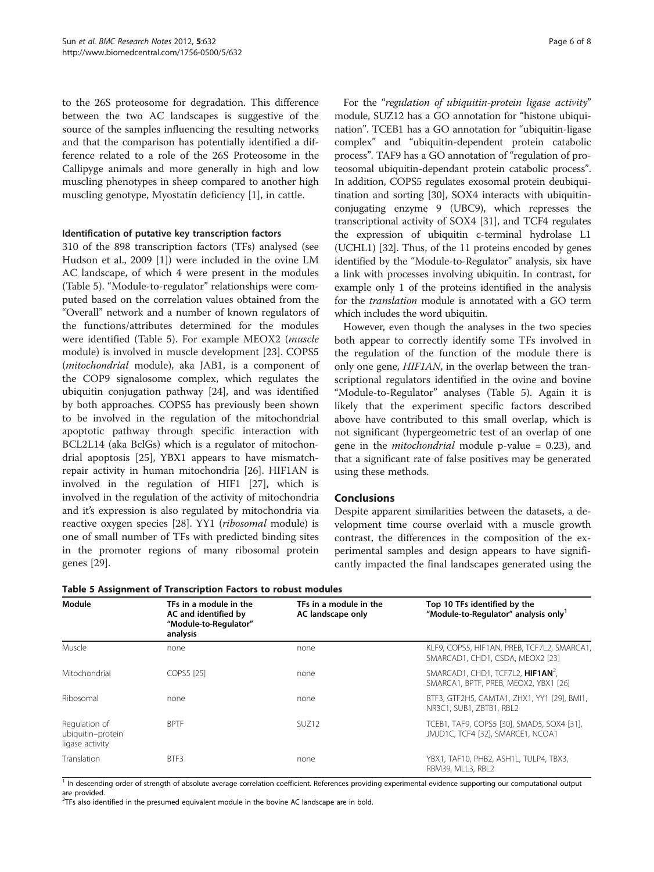to the 26S proteosome for degradation. This difference between the two AC landscapes is suggestive of the source of the samples influencing the resulting networks and that the comparison has potentially identified a difference related to a role of the 26S Proteosome in the Callipyge animals and more generally in high and low muscling phenotypes in sheep compared to another high muscling genotype, Myostatin deficiency [\[1](#page-6-0)], in cattle.

## Identification of putative key transcription factors

310 of the 898 transcription factors (TFs) analysed (see Hudson et al., 2009 [\[1](#page-6-0)]) were included in the ovine LM AC landscape, of which 4 were present in the modules (Table 5). "Module-to-regulator" relationships were computed based on the correlation values obtained from the "Overall" network and a number of known regulators of the functions/attributes determined for the modules were identified (Table 5). For example MEOX2 (muscle module) is involved in muscle development [[23](#page-6-0)]. COPS5 (mitochondrial module), aka JAB1, is a component of the COP9 signalosome complex, which regulates the ubiquitin conjugation pathway [[24\]](#page-6-0), and was identified by both approaches. COPS5 has previously been shown to be involved in the regulation of the mitochondrial apoptotic pathway through specific interaction with BCL2L14 (aka BclGs) which is a regulator of mitochondrial apoptosis [\[25](#page-7-0)], YBX1 appears to have mismatchrepair activity in human mitochondria [\[26](#page-7-0)]. HIF1AN is involved in the regulation of HIF1 [[27\]](#page-7-0), which is involved in the regulation of the activity of mitochondria and it's expression is also regulated by mitochondria via reactive oxygen species [[28\]](#page-7-0). YY1 (ribosomal module) is one of small number of TFs with predicted binding sites in the promoter regions of many ribosomal protein genes [\[29](#page-7-0)].

For the "regulation of ubiquitin-protein ligase activity" module, SUZ12 has a GO annotation for "histone ubiquination". TCEB1 has a GO annotation for "ubiquitin-ligase complex" and "ubiquitin-dependent protein catabolic process". TAF9 has a GO annotation of "regulation of proteosomal ubiquitin-dependant protein catabolic process". In addition, COPS5 regulates exosomal protein deubiquitination and sorting [[30](#page-7-0)], SOX4 interacts with ubiquitinconjugating enzyme 9 (UBC9), which represses the transcriptional activity of SOX4 [\[31\]](#page-7-0), and TCF4 regulates the expression of ubiquitin c-terminal hydrolase L1 (UCHL1) [\[32](#page-7-0)]. Thus, of the 11 proteins encoded by genes identified by the "Module-to-Regulator" analysis, six have a link with processes involving ubiquitin. In contrast, for example only 1 of the proteins identified in the analysis for the translation module is annotated with a GO term which includes the word ubiquitin.

However, even though the analyses in the two species both appear to correctly identify some TFs involved in the regulation of the function of the module there is only one gene, HIF1AN, in the overlap between the transcriptional regulators identified in the ovine and bovine "Module-to-Regulator" analyses (Table 5). Again it is likely that the experiment specific factors described above have contributed to this small overlap, which is not significant (hypergeometric test of an overlap of one gene in the *mitochondrial* module p-value = 0.23), and that a significant rate of false positives may be generated using these methods.

## Conclusions

Despite apparent similarities between the datasets, a development time course overlaid with a muscle growth contrast, the differences in the composition of the experimental samples and design appears to have significantly impacted the final landscapes generated using the

| Table 5 Assignment of Transcription Factors to robust modules |  |
|---------------------------------------------------------------|--|
|                                                               |  |

| Module                                                | TFs in a module in the<br>AC and identified by<br>"Module-to-Regulator"<br>analysis | TFs in a module in the<br>AC landscape only | Top 10 TFs identified by the<br>"Module-to-Regulator" analysis only <sup>1</sup>       |
|-------------------------------------------------------|-------------------------------------------------------------------------------------|---------------------------------------------|----------------------------------------------------------------------------------------|
| Muscle                                                | none                                                                                | none                                        | KLF9, COPS5, HIF1AN, PREB, TCF7L2, SMARCA1,<br>SMARCAD1, CHD1, CSDA, MEOX2 [23]        |
| Mitochondrial                                         | COPS5 [25]                                                                          | none                                        | SMARCAD1, CHD1, TCF7L2, HIF1AN <sup>2</sup> ,<br>SMARCA1, BPTF, PREB, MEOX2, YBX1 [26] |
| Ribosomal                                             | none                                                                                | none                                        | BTF3, GTF2H5, CAMTA1, ZHX1, YY1 [29], BMI1,<br>NR3C1, SUB1, ZBTB1, RBL2                |
| Regulation of<br>ubiquitin-protein<br>ligase activity | <b>BPTF</b>                                                                         | SU712                                       | TCEB1, TAF9, COPS5 [30], SMAD5, SOX4 [31],<br>JMJD1C, TCF4 [32], SMARCE1, NCOA1        |
| Translation                                           | BTF3                                                                                | none                                        | YBX1, TAF10, PHB2, ASH1L, TULP4, TBX3,<br>RBM39, MLL3, RBL2                            |

<sup>1</sup> In descending order of strength of absolute average correlation coefficient. References providing experimental evidence supporting our computational output are provided.

 $27$ Fs also identified in the presumed equivalent module in the bovine AC landscape are in bold.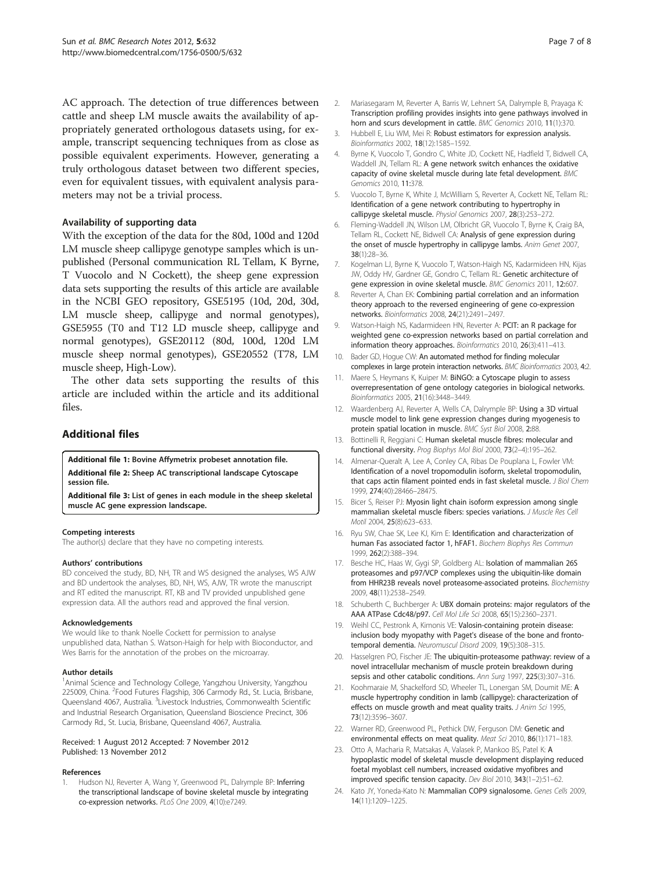<span id="page-6-0"></span>AC approach. The detection of true differences between cattle and sheep LM muscle awaits the availability of appropriately generated orthologous datasets using, for example, transcript sequencing techniques from as close as possible equivalent experiments. However, generating a truly orthologous dataset between two different species, even for equivalent tissues, with equivalent analysis parameters may not be a trivial process.

#### Availability of supporting data

With the exception of the data for the 80d, 100d and 120d LM muscle sheep callipyge genotype samples which is unpublished (Personal communication RL Tellam, K Byrne, T Vuocolo and N Cockett), the sheep gene expression data sets supporting the results of this article are available in the NCBI GEO repository, GSE5195 (10d, 20d, 30d, LM muscle sheep, callipyge and normal genotypes), GSE5955 (T0 and T12 LD muscle sheep, callipyge and normal genotypes), GSE20112 (80d, 100d, 120d LM muscle sheep normal genotypes), GSE20552 (T78, LM muscle sheep, High-Low).

The other data sets supporting the results of this article are included within the article and its additional files.

## Additional files

[Additional file 1:](http://www.biomedcentral.com/content/supplementary/1756-0500-5-632-S1.txt) Bovine Affymetrix probeset annotation file.

[Additional file 2:](http://www.biomedcentral.com/content/supplementary/1756-0500-5-632-S2.cys) Sheep AC transcriptional landscape Cytoscape session file.

[Additional file 3:](http://www.biomedcentral.com/content/supplementary/1756-0500-5-632-S3.xls) List of genes in each module in the sheep skeletal muscle AC gene expression landscape.

#### Competing interests

The author(s) declare that they have no competing interests.

#### Authors' contributions

BD conceived the study, BD, NH, TR and WS designed the analyses, WS AJW and BD undertook the analyses, BD, NH, WS, AJW, TR wrote the manuscript and RT edited the manuscript. RT, KB and TV provided unpublished gene expression data. All the authors read and approved the final version.

#### Acknowledgements

We would like to thank Noelle Cockett for permission to analyse unpublished data, Nathan S. Watson-Haigh for help with Bioconductor, and Wes Barris for the annotation of the probes on the microarray.

#### Author details

<sup>1</sup> Animal Science and Technology College, Yangzhou University, Yangzhou 225009, China. <sup>2</sup> Food Futures Flagship, 306 Carmody Rd., St. Lucia, Brisbane, Queensland 4067, Australia. <sup>3</sup>Livestock Industries, Commonwealth Scientific and Industrial Research Organisation, Queensland Bioscience Precinct, 306 Carmody Rd., St. Lucia, Brisbane, Queensland 4067, Australia.

#### Received: 1 August 2012 Accepted: 7 November 2012 Published: 13 November 2012

#### References

Hudson NJ, Reverter A, Wang Y, Greenwood PL, Dalrymple BP: Inferring the transcriptional landscape of bovine skeletal muscle by integrating co-expression networks. PLoS One 2009, 4(10):e7249.

- 2. Mariasegaram M, Reverter A, Barris W, Lehnert SA, Dalrymple B, Prayaga K: Transcription profiling provides insights into gene pathways involved in horn and scurs development in cattle. BMC Genomics 2010, 11(1):370.
- Hubbell E, Liu WM, Mei R: Robust estimators for expression analysis. Bioinformatics 2002, 18(12):1585–1592.
- 4. Byrne K, Vuocolo T, Gondro C, White JD, Cockett NE, Hadfield T, Bidwell CA, Waddell JN, Tellam RL: A gene network switch enhances the oxidative capacity of ovine skeletal muscle during late fetal development. BMC Genomics 2010, 11:378.
- 5. Vuocolo T, Byrne K, White J, McWilliam S, Reverter A, Cockett NE, Tellam RL: Identification of a gene network contributing to hypertrophy in callipyge skeletal muscle. Physiol Genomics 2007, 28(3):253–272.
- 6. Fleming-Waddell JN, Wilson LM, Olbricht GR, Vuocolo T, Byrne K, Craig BA, Tellam RL, Cockett NE, Bidwell CA: Analysis of gene expression during the onset of muscle hypertrophy in callipyge lambs. Anim Genet 2007, 38(1):28–36.
- 7. Kogelman LJ, Byrne K, Vuocolo T, Watson-Haigh NS, Kadarmideen HN, Kijas JW, Oddy HV, Gardner GE, Gondro C, Tellam RL: Genetic architecture of gene expression in ovine skeletal muscle. BMC Genomics 2011, 12:607.
- 8. Reverter A, Chan EK: Combining partial correlation and an information theory approach to the reversed engineering of gene co-expression networks. Bioinformatics 2008, 24(21):2491–2497.
- 9. Watson-Haigh NS, Kadarmideen HN, Reverter A: PCIT: an R package for weighted gene co-expression networks based on partial correlation and information theory approaches. Bioinformatics 2010, 26(3):411–413.
- 10. Bader GD, Hogue CW: An automated method for finding molecular complexes in large protein interaction networks. BMC Bioinformatics 2003, 4:2.
- 11. Maere S, Heymans K, Kuiper M: BiNGO: a Cytoscape plugin to assess overrepresentation of gene ontology categories in biological networks. Bioinformatics 2005, 21(16):3448–3449.
- 12. Waardenberg AJ, Reverter A, Wells CA, Dalrymple BP: Using a 3D virtual muscle model to link gene expression changes during myogenesis to protein spatial location in muscle. BMC Syst Biol 2008, 2:88.
- 13. Bottinelli R, Reggiani C: Human skeletal muscle fibres: molecular and functional diversity. Prog Biophys Mol Biol 2000, 73(2–4):195–262.
- 14. Almenar-Queralt A, Lee A, Conley CA, Ribas De Pouplana L, Fowler VM: Identification of a novel tropomodulin isoform, skeletal tropomodulin, that caps actin filament pointed ends in fast skeletal muscle. J Biol Chem 1999, 274(40):28466–28475.
- 15. Bicer S, Reiser PJ: Myosin light chain isoform expression among single mammalian skeletal muscle fibers: species variations. J Muscle Res Cell Motil 2004, 25(8):623–633.
- 16. Ryu SW, Chae SK, Lee KJ, Kim E: Identification and characterization of human Fas associated factor 1, hFAF1. Biochem Biophys Res Commun 1999, 262(2):388–394.
- 17. Besche HC, Haas W, Gygi SP, Goldberg AL: Isolation of mammalian 26S proteasomes and p97/VCP complexes using the ubiquitin-like domain from HHR23B reveals novel proteasome-associated proteins. Biochemistry 2009, 48(11):2538–2549.
- 18. Schuberth C, Buchberger A: UBX domain proteins: major regulators of the AAA ATPase Cdc48/p97. Cell Mol Life Sci 2008, 65(15):2360–2371.
- 19. Weihl CC, Pestronk A, Kimonis VE: Valosin-containing protein disease: inclusion body myopathy with Paget's disease of the bone and frontotemporal dementia. Neuromuscul Disord 2009, 19(5):308–315.
- 20. Hasselgren PO, Fischer JE: The ubiquitin-proteasome pathway: review of a novel intracellular mechanism of muscle protein breakdown during sepsis and other catabolic conditions. Ann Surg 1997, 225(3):307-316.
- 21. Koohmaraie M, Shackelford SD, Wheeler TL, Lonergan SM, Doumit ME: A muscle hypertrophy condition in lamb (callipyge): characterization of effects on muscle growth and meat quality traits. J Anim Sci 1995, 73(12):3596–3607.
- 22. Warner RD, Greenwood PL, Pethick DW, Ferguson DM: Genetic and environmental effects on meat quality. Meat Sci 2010, 86(1):171–183.
- 23. Otto A, Macharia R, Matsakas A, Valasek P, Mankoo BS, Patel K: A hypoplastic model of skeletal muscle development displaying reduced foetal myoblast cell numbers, increased oxidative myofibres and improved specific tension capacity. Dev Biol 2010, 343(1–2):51–62.
- 24. Kato JY, Yoneda-Kato N: Mammalian COP9 signalosome. Genes Cells 2009, 14(11):1209–1225.